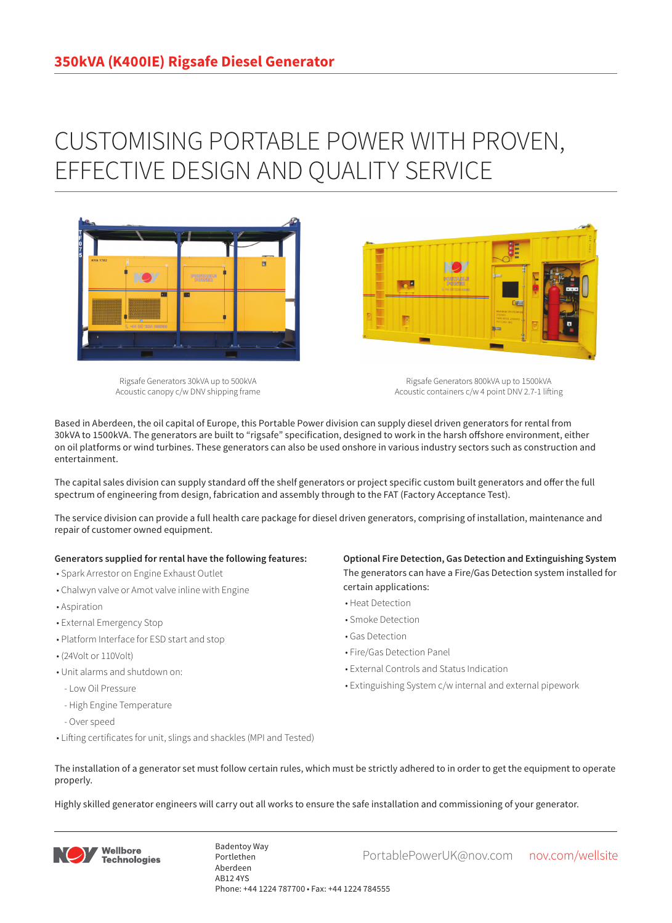## CUSTOMISING PORTABLE POWER WITH PROVEN, EFFECTIVE DESIGN AND QUALITY SERVICE



Rigsafe Generators 30kVA up to 500kVA Acoustic canopy c/w DNV shipping frame

Rigsafe Generators 800kVA up to 1500kVA Acoustic containers c/w 4 point DNV 2.7-1 lifting

Based in Aberdeen, the oil capital of Europe, this Portable Power division can supply diesel driven generators for rental from 30kVA to 1500kVA. The generators are built to "rigsafe" specification, designed to work in the harsh offshore environment, either on oil platforms or wind turbines. These generators can also be used onshore in various industry sectors such as construction and entertainment.

The capital sales division can supply standard off the shelf generators or project specific custom built generators and offer the full spectrum of engineering from design, fabrication and assembly through to the FAT (Factory Acceptance Test).

The service division can provide a full health care package for diesel driven generators, comprising of installation, maintenance and repair of customer owned equipment.

## **Generators supplied for rental have the following features:**

- Spark Arrestor on Engine Exhaust Outlet
- Chalwyn valve or Amot valve inline with Engine
- Aspiration
- External Emergency Stop
- Platform Interface for ESD start and stop
- (24Volt or 110Volt)
- Unit alarms and shutdown on:
- Low Oil Pressure
- High Engine Temperature
- Over speed
- Lifting certificates for unit, slings and shackles (MPI and Tested)

**Optional Fire Detection, Gas Detection and Extinguishing System** The generators can have a Fire/Gas Detection system installed for certain applications:

- Heat Detection
- Smoke Detection
- Gas Detection
- Fire/Gas Detection Panel

**Designation** 

- External Controls and Status Indication
- Extinguishing System c/w internal and external pipework
- The installation of a generator set must follow certain rules, which must be strictly adhered to in order to get the equipment to operate properly.

Highly skilled generator engineers will carry out all works to ensure the safe installation and commissioning of your generator.



Badentoy Way<br>PortablePowerUK@nov.com nov.com/wellsite Portlethen Aberdeen AB12 4YS Phone: +44 1224 787700 • Fax: +44 1224 784555